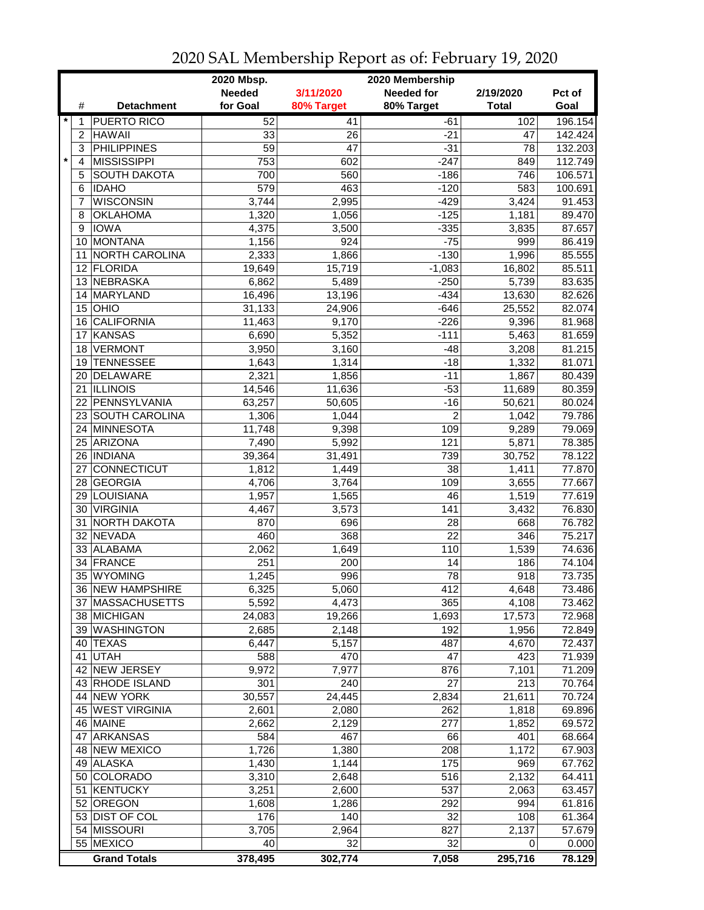|                    | 2020 Mbsp.<br>2020 Membership   |                 |                 |                   |                 |         |  |
|--------------------|---------------------------------|-----------------|-----------------|-------------------|-----------------|---------|--|
|                    |                                 | <b>Needed</b>   | 3/11/2020       | <b>Needed for</b> | 2/19/2020       | Pct of  |  |
| #                  | <b>Detachment</b>               | for Goal        | 80% Target      | 80% Target        | <b>Total</b>    | Goal    |  |
| $\star$<br>1       | <b>PUERTO RICO</b>              | 52              | 41              | -61               | 102             | 196.154 |  |
| 2                  | <b>HAWAII</b>                   | 33              | 26              | -21               | 47              | 142.424 |  |
| 3                  | <b>PHILIPPINES</b>              | $\overline{59}$ | $\overline{47}$ | $-31$             | $\overline{78}$ | 132.203 |  |
| $\pmb{\star}$<br>4 | <b>MISSISSIPPI</b>              | 753             | 602             | $-247$            | 849             | 112.749 |  |
| 5                  | <b>SOUTH DAKOTA</b>             | 700             | 560             | $-186$            | 746             | 106.571 |  |
| 6                  | <b>IDAHO</b>                    | 579             | 463             | $-120$            | 583             | 100.691 |  |
| 7                  | <b>WISCONSIN</b>                | 3,744           | 2,995           | $-429$            | 3,424           | 91.453  |  |
| 8                  | <b>OKLAHOMA</b>                 | 1,320           | 1,056           | $-125$            | 1,181           | 89.470  |  |
| 9                  | <b>IOWA</b>                     | 4,375           | 3,500           | $-335$            | 3,835           | 87.657  |  |
| 10                 | MONTANA                         | 1,156           | 924             | $-75$             | 999             | 86.419  |  |
| 11                 | NORTH CAROLINA                  | 2,333           | 1,866           | $-130$            | 1,996           | 85.555  |  |
|                    | 12 FLORIDA                      | 19,649          | 15,719          | $-1,083$          | 16,802          | 85.511  |  |
|                    | 13 NEBRASKA                     | 6,862           | 5,489           | $-250$            | 5,739           | 83.635  |  |
| 14                 | MARYLAND                        | 16,496          | 13,196          | $-434$            | 13,630          | 82.626  |  |
| 15                 | OHIO                            | 31,133          | 24,906          | $-646$            | 25,552          | 82.074  |  |
| 16                 | <b>CALIFORNIA</b>               | 11,463          | 9,170           | $-226$            | 9,396           | 81.968  |  |
| 17                 | <b>KANSAS</b>                   | 6,690           | 5,352           | $-111$            | 5,463           | 81.659  |  |
| 18                 | <b>VERMONT</b>                  | 3,950           | 3,160           | $-48$             | 3,208           | 81.215  |  |
| 19                 | TENNESSEE                       | 1,643           | 1,314           | $-18$             | 1,332           | 81.071  |  |
|                    | 20 DELAWARE                     |                 |                 | $-11$             |                 | 80.439  |  |
|                    |                                 | 2,321           | 1,856           | $-53$             | 1,867           | 80.359  |  |
|                    | 21  ILLINOIS<br>22 PENNSYLVANIA | 14,546          | 11,636          | $-16$             | 11,689          |         |  |
|                    |                                 | 63,257          | 50,605          |                   | 50,621          | 80.024  |  |
|                    | 23 SOUTH CAROLINA               | 1,306           | 1,044           | $\overline{c}$    | 1,042           | 79.786  |  |
|                    | 24 MINNESOTA                    | 11,748          | 9,398           | 109               | 9,289           | 79.069  |  |
|                    | 25 ARIZONA                      | 7,490           | 5,992           | 121               | 5,871           | 78.385  |  |
|                    | 26   INDIANA                    | 39,364          | 31,491          | 739               | 30,752          | 78.122  |  |
| 27                 | <b>CONNECTICUT</b>              | 1,812           | 1,449           | 38                | 1,411           | 77.870  |  |
|                    | 28 GEORGIA                      | 4,706           | 3,764           | 109               | 3,655           | 77.667  |  |
| 29                 | LOUISIANA                       | 1,957           | 1,565           | 46                | 1,519           | 77.619  |  |
|                    | 30 VIRGINIA                     | 4,467           | 3,573           | 141               | 3,432           | 76.830  |  |
| 31                 | <b>NORTH DAKOTA</b>             | 870             | 696             | 28                | 668             | 76.782  |  |
|                    | 32 NEVADA                       | 460             | 368             | 22                | 346             | 75.217  |  |
|                    | 33 ALABAMA                      | 2,062           | 1,649           | 110               | 1,539           | 74.636  |  |
| 34                 | FRANCE                          | 251             | 200             | 14                | 186             | 74.104  |  |
|                    | 35 WYOMING                      | 1,245           | 996             | 78                | 918             | 73.735  |  |
|                    | 36 NEW HAMPSHIRE                | 6,325           | 5,060           | 412               | 4,648           | 73.486  |  |
|                    | 37 MASSACHUSETTS                | 5,592           | 4,473           | 365               | 4,108           | 73.462  |  |
|                    | 38 MICHIGAN                     | 24,083          | 19,266          | 1,693             | 17,573          | 72.968  |  |
|                    | 39 WASHINGTON                   | 2,685           | 2,148           | 192               | 1,956           | 72.849  |  |
|                    | 40 TEXAS                        | 6,447           | 5,157           | 487               | 4,670           | 72.437  |  |
|                    | 41 UTAH                         | 588             | 470             | 47                | 423             | 71.939  |  |
|                    | 42 NEW JERSEY                   | 9,972           | 7,977           | 876               | 7,101           | 71.209  |  |
|                    | 43 RHODE ISLAND                 | 301             | 240             | $\overline{27}$   | 213             | 70.764  |  |
|                    | 44 NEW YORK                     | 30,557          | 24,445          | 2,834             | 21,611          | 70.724  |  |
|                    | 45 WEST VIRGINIA                | 2,601           | 2,080           | 262               | 1,818           | 69.896  |  |
|                    | 46 MAINE                        | 2,662           | 2,129           | 277               | 1,852           | 69.572  |  |
|                    | 47 ARKANSAS                     | 584             | 467             | 66                | 401             | 68.664  |  |
|                    | 48 NEW MEXICO                   | 1,726           | 1,380           | 208               | 1,172           | 67.903  |  |
|                    | 49 ALASKA                       | 1,430           | 1,144           | 175               | 969             | 67.762  |  |
|                    | 50 COLORADO                     | 3,310           | 2,648           | 516               | 2,132           | 64.411  |  |
| 51                 | <b>KENTUCKY</b>                 | 3,251           | 2,600           | 537               | 2,063           | 63.457  |  |
|                    | 52 OREGON                       | 1,608           | 1,286           | 292               | 994             | 61.816  |  |
|                    | 53 DIST OF COL                  | 176             | 140             | 32                | 108             | 61.364  |  |
|                    | 54 MISSOURI                     | 3,705           | 2,964           | 827               | 2,137           | 57.679  |  |
|                    | 55 MEXICO                       | 40              | 32              | 32                | 0               | 0.000   |  |
|                    | <b>Grand Totals</b>             | 378,495         | 302,774         | 7,058             | 295,716         | 78.129  |  |

2020 SAL Membership Report as of: February 19, 2020